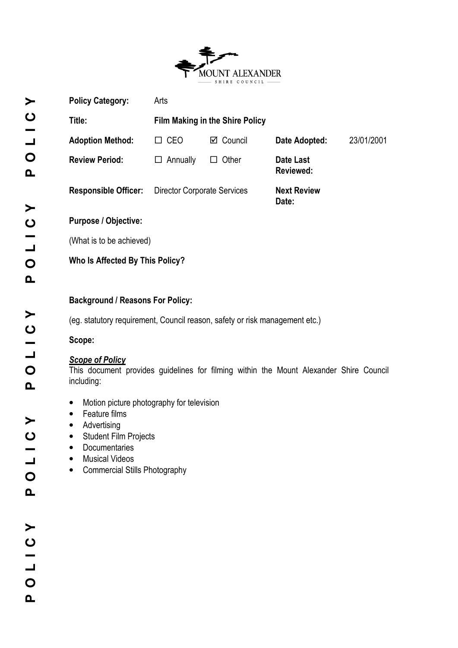

|                                                                                                                                                                                                                                                                                                                                                                                                                                                                                                                                                | <b>Policy Category:</b>         | Arts                               |                                 |                             |  |            |  |  |
|------------------------------------------------------------------------------------------------------------------------------------------------------------------------------------------------------------------------------------------------------------------------------------------------------------------------------------------------------------------------------------------------------------------------------------------------------------------------------------------------------------------------------------------------|---------------------------------|------------------------------------|---------------------------------|-----------------------------|--|------------|--|--|
|                                                                                                                                                                                                                                                                                                                                                                                                                                                                                                                                                | Title:                          |                                    | Film Making in the Shire Policy |                             |  |            |  |  |
|                                                                                                                                                                                                                                                                                                                                                                                                                                                                                                                                                | <b>Adoption Method:</b>         | $\Box$ CEO                         | $\boxtimes$ Council             | Date Adopted:               |  | 23/01/2001 |  |  |
|                                                                                                                                                                                                                                                                                                                                                                                                                                                                                                                                                | <b>Review Period:</b>           | $\Box$ Annually                    | $\Box$ Other                    | Date Last<br>Reviewed:      |  |            |  |  |
|                                                                                                                                                                                                                                                                                                                                                                                                                                                                                                                                                | <b>Responsible Officer:</b>     | <b>Director Corporate Services</b> |                                 | <b>Next Review</b><br>Date: |  |            |  |  |
|                                                                                                                                                                                                                                                                                                                                                                                                                                                                                                                                                | Purpose / Objective:            |                                    |                                 |                             |  |            |  |  |
|                                                                                                                                                                                                                                                                                                                                                                                                                                                                                                                                                | (What is to be achieved)        |                                    |                                 |                             |  |            |  |  |
|                                                                                                                                                                                                                                                                                                                                                                                                                                                                                                                                                | Who Is Affected By This Policy? |                                    |                                 |                             |  |            |  |  |
| <b>Background / Reasons For Policy:</b><br>(eg. statutory requirement, Council reason, safety or risk management etc.)<br>Scope:<br><b>Scope of Policy</b><br>This document provides guidelines for filming within the Mount Alexander Shire Council<br>including:<br>Motion picture photography for television<br>$\bullet$<br>Feature films<br>$\bullet$<br>Advertising<br>٠<br><b>Student Film Projects</b><br>$\bullet$<br><b>Documentaries</b><br>$\bullet$<br><b>Musical Videos</b><br>$\bullet$<br><b>Commercial Stills Photography</b> |                                 |                                    |                                 |                             |  |            |  |  |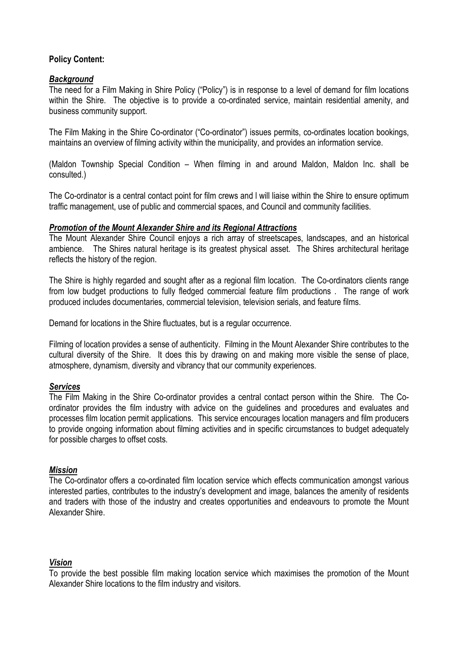## Policy Content:

## **Background**

The need for a Film Making in Shire Policy ("Policy") is in response to a level of demand for film locations within the Shire. The objective is to provide a co-ordinated service, maintain residential amenity, and business community support.

The Film Making in the Shire Co-ordinator ("Co-ordinator") issues permits, co-ordinates location bookings, maintains an overview of filming activity within the municipality, and provides an information service.

(Maldon Township Special Condition – When filming in and around Maldon, Maldon Inc. shall be consulted.)

The Co-ordinator is a central contact point for film crews and l will liaise within the Shire to ensure optimum traffic management, use of public and commercial spaces, and Council and community facilities.

#### Promotion of the Mount Alexander Shire and its Regional Attractions

The Mount Alexander Shire Council enjoys a rich array of streetscapes, landscapes, and an historical ambience. The Shires natural heritage is its greatest physical asset. The Shires architectural heritage reflects the history of the region.

The Shire is highly regarded and sought after as a regional film location. The Co-ordinators clients range from low budget productions to fully fledged commercial feature film productions . The range of work produced includes documentaries, commercial television, television serials, and feature films.

Demand for locations in the Shire fluctuates, but is a regular occurrence.

Filming of location provides a sense of authenticity. Filming in the Mount Alexander Shire contributes to the cultural diversity of the Shire. It does this by drawing on and making more visible the sense of place, atmosphere, dynamism, diversity and vibrancy that our community experiences.

### **Services**

The Film Making in the Shire Co-ordinator provides a central contact person within the Shire. The Coordinator provides the film industry with advice on the guidelines and procedures and evaluates and processes film location permit applications. This service encourages location managers and film producers to provide ongoing information about filming activities and in specific circumstances to budget adequately for possible charges to offset costs.

### Mission

The Co-ordinator offers a co-ordinated film location service which effects communication amongst various interested parties, contributes to the industry's development and image, balances the amenity of residents and traders with those of the industry and creates opportunities and endeavours to promote the Mount Alexander Shire.

### Vision

To provide the best possible film making location service which maximises the promotion of the Mount Alexander Shire locations to the film industry and visitors.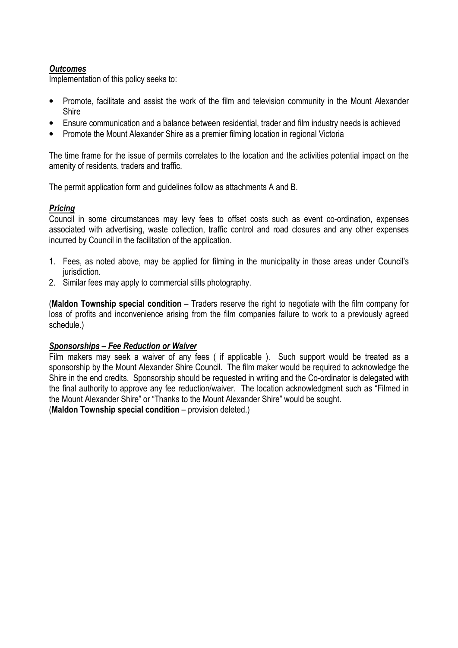## **Outcomes**

Implementation of this policy seeks to:

- Promote, facilitate and assist the work of the film and television community in the Mount Alexander Shire
- Ensure communication and a balance between residential, trader and film industry needs is achieved
- Promote the Mount Alexander Shire as a premier filming location in regional Victoria

The time frame for the issue of permits correlates to the location and the activities potential impact on the amenity of residents, traders and traffic.

The permit application form and guidelines follow as attachments A and B.

## Pricing

Council in some circumstances may levy fees to offset costs such as event co-ordination, expenses associated with advertising, waste collection, traffic control and road closures and any other expenses incurred by Council in the facilitation of the application.

- 1. Fees, as noted above, may be applied for filming in the municipality in those areas under Council's jurisdiction.
- 2. Similar fees may apply to commercial stills photography.

(Maldon Township special condition – Traders reserve the right to negotiate with the film company for loss of profits and inconvenience arising from the film companies failure to work to a previously agreed schedule.)

### Sponsorships – Fee Reduction or Waiver

Film makers may seek a waiver of any fees ( if applicable ). Such support would be treated as a sponsorship by the Mount Alexander Shire Council. The film maker would be required to acknowledge the Shire in the end credits. Sponsorship should be requested in writing and the Co-ordinator is delegated with the final authority to approve any fee reduction/waiver. The location acknowledgment such as "Filmed in the Mount Alexander Shire" or "Thanks to the Mount Alexander Shire" would be sought.

(Maldon Township special condition – provision deleted.)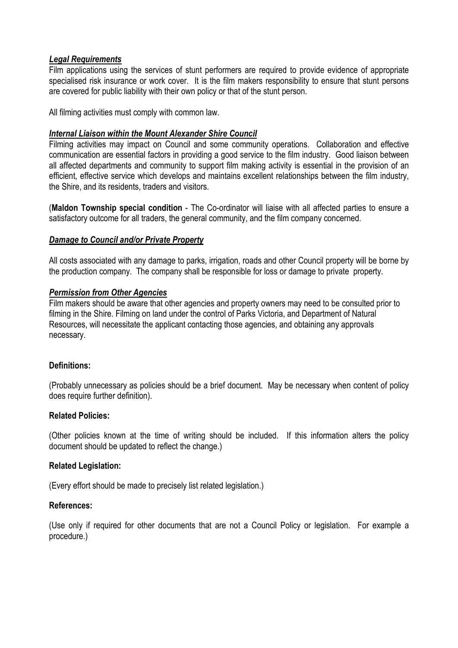#### Legal Requirements

Film applications using the services of stunt performers are required to provide evidence of appropriate specialised risk insurance or work cover. It is the film makers responsibility to ensure that stunt persons are covered for public liability with their own policy or that of the stunt person.

All filming activities must comply with common law.

#### Internal Liaison within the Mount Alexander Shire Council

Filming activities may impact on Council and some community operations. Collaboration and effective communication are essential factors in providing a good service to the film industry. Good liaison between all affected departments and community to support film making activity is essential in the provision of an efficient, effective service which develops and maintains excellent relationships between the film industry, the Shire, and its residents, traders and visitors.

(Maldon Township special condition - The Co-ordinator will liaise with all affected parties to ensure a satisfactory outcome for all traders, the general community, and the film company concerned.

### Damage to Council and/or Private Property

All costs associated with any damage to parks, irrigation, roads and other Council property will be borne by the production company. The company shall be responsible for loss or damage to private property.

### Permission from Other Agencies

Film makers should be aware that other agencies and property owners may need to be consulted prior to filming in the Shire. Filming on land under the control of Parks Victoria, and Department of Natural Resources, will necessitate the applicant contacting those agencies, and obtaining any approvals necessary.

### Definitions:

(Probably unnecessary as policies should be a brief document. May be necessary when content of policy does require further definition).

#### Related Policies:

(Other policies known at the time of writing should be included. If this information alters the policy document should be updated to reflect the change.)

### Related Legislation:

(Every effort should be made to precisely list related legislation.)

### References:

(Use only if required for other documents that are not a Council Policy or legislation. For example a procedure.)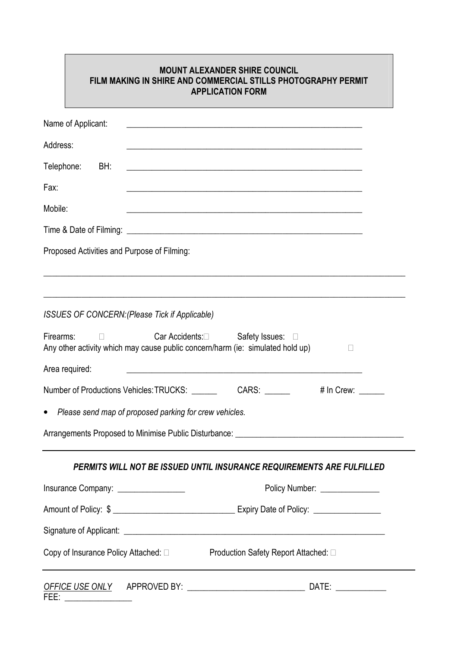|                                    |                                                                         | <b>MOUNT ALEXANDER SHIRE COUNCIL</b><br>FILM MAKING IN SHIRE AND COMMERCIAL STILLS PHOTOGRAPHY PERMIT<br><b>APPLICATION FORM</b> |                                |
|------------------------------------|-------------------------------------------------------------------------|----------------------------------------------------------------------------------------------------------------------------------|--------------------------------|
| Name of Applicant:                 |                                                                         | <u> 1989 - Johann John Stone, market fan de Fryske kunstne fan de fan de fan de fan de fan de fan de fan de fan d</u>            |                                |
| Address:                           |                                                                         |                                                                                                                                  |                                |
| Telephone:<br>BH:                  |                                                                         | <u> 1989 - Johann John Harry Barn, mars and deutscher Stadt and deutscher Stadt and deutscher Stadt and deutsch</u> e            |                                |
| Fax:                               |                                                                         | <u> 1989 - Johann Stoff, amerikansk politiker (d. 1989)</u>                                                                      |                                |
| Mobile:                            |                                                                         |                                                                                                                                  |                                |
|                                    |                                                                         |                                                                                                                                  |                                |
|                                    | Proposed Activities and Purpose of Filming:                             |                                                                                                                                  |                                |
| Firearms:                          | <b>ISSUES OF CONCERN: (Please Tick if Applicable)</b><br>Car Accidents: | Safety Issues:<br>Any other activity which may cause public concern/harm (ie: simulated hold up)                                 |                                |
| Area required:                     |                                                                         | <u> 1989 - Johann Stein, marwolaethau a bhann an t-Amhair ann an t-Amhair an t-Amhair an t-Amhair an t-Amhair an</u>             |                                |
|                                    | Number of Productions Vehicles: TRUCKS:                                 | CARS:                                                                                                                            | # In Crew:                     |
| $\bullet$                          | Please send map of proposed parking for crew vehicles.                  |                                                                                                                                  |                                |
|                                    |                                                                         |                                                                                                                                  |                                |
|                                    |                                                                         | PERMITS WILL NOT BE ISSUED UNTIL INSURANCE REQUIREMENTS ARE FULFILLED                                                            |                                |
|                                    | Insurance Company: ________________                                     |                                                                                                                                  | Policy Number: _______________ |
|                                    |                                                                         |                                                                                                                                  |                                |
|                                    |                                                                         |                                                                                                                                  |                                |
| Copy of Insurance Policy Attached: |                                                                         | <b>Production Safety Report Attached:</b>                                                                                        |                                |
|                                    |                                                                         |                                                                                                                                  |                                |

 $\mathbf{r}$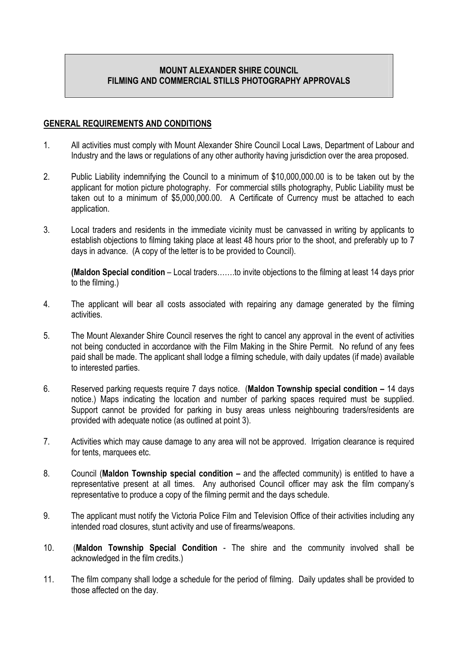# MOUNT ALEXANDER SHIRE COUNCIL FILMING AND COMMERCIAL STILLS PHOTOGRAPHY APPROVALS

#### GENERAL REQUIREMENTS AND CONDITIONS

- 1. All activities must comply with Mount Alexander Shire Council Local Laws, Department of Labour and Industry and the laws or regulations of any other authority having jurisdiction over the area proposed.
- 2. Public Liability indemnifying the Council to a minimum of \$10,000,000.00 is to be taken out by the applicant for motion picture photography. For commercial stills photography, Public Liability must be taken out to a minimum of \$5,000,000.00. A Certificate of Currency must be attached to each application.
- 3. Local traders and residents in the immediate vicinity must be canvassed in writing by applicants to establish objections to filming taking place at least 48 hours prior to the shoot, and preferably up to 7 days in advance. (A copy of the letter is to be provided to Council).

(Maldon Special condition – Local traders…….to invite objections to the filming at least 14 days prior to the filming.)

- 4. The applicant will bear all costs associated with repairing any damage generated by the filming activities.
- 5. The Mount Alexander Shire Council reserves the right to cancel any approval in the event of activities not being conducted in accordance with the Film Making in the Shire Permit. No refund of any fees paid shall be made. The applicant shall lodge a filming schedule, with daily updates (if made) available to interested parties.
- 6. Reserved parking requests require 7 days notice. (Maldon Township special condition 14 days notice.) Maps indicating the location and number of parking spaces required must be supplied. Support cannot be provided for parking in busy areas unless neighbouring traders/residents are provided with adequate notice (as outlined at point 3).
- 7. Activities which may cause damage to any area will not be approved. Irrigation clearance is required for tents, marquees etc.
- 8. Council (Maldon Township special condition and the affected community) is entitled to have a representative present at all times. Any authorised Council officer may ask the film company's representative to produce a copy of the filming permit and the days schedule.
- 9. The applicant must notify the Victoria Police Film and Television Office of their activities including any intended road closures, stunt activity and use of firearms/weapons.
- 10. (Maldon Township Special Condition The shire and the community involved shall be acknowledged in the film credits.)
- 11. The film company shall lodge a schedule for the period of filming. Daily updates shall be provided to those affected on the day.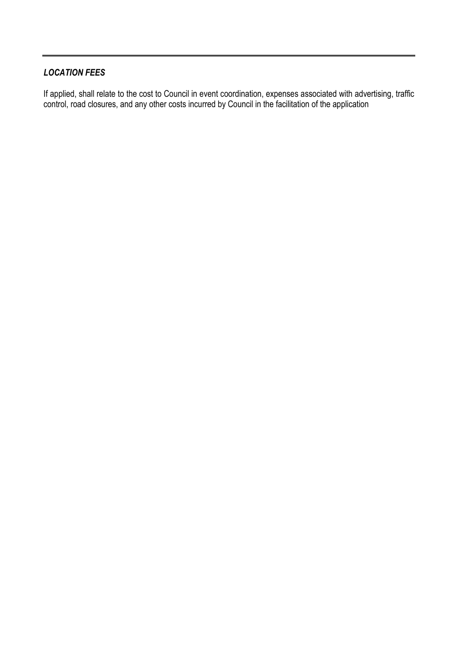# LOCATION FEES

If applied, shall relate to the cost to Council in event coordination, expenses associated with advertising, traffic control, road closures, and any other costs incurred by Council in the facilitation of the application